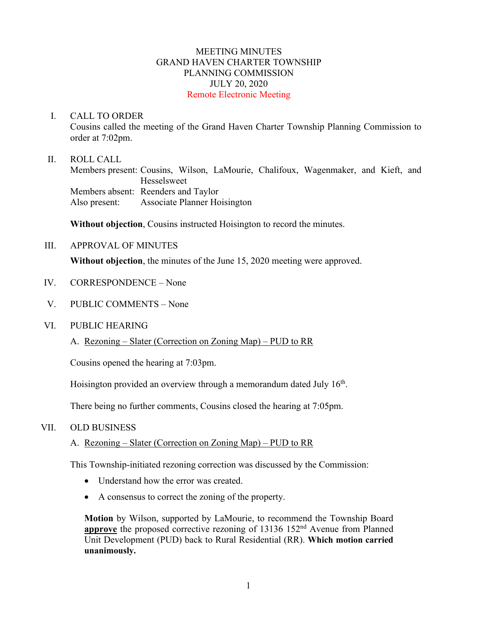## MEETING MINUTES GRAND HAVEN CHARTER TOWNSHIP PLANNING COMMISSION JULY 20, 2020 Remote Electronic Meeting

### I. CALL TO ORDER

Cousins called the meeting of the Grand Haven Charter Township Planning Commission to order at 7:02pm.

### II. ROLL CALL

Members present: Cousins, Wilson, LaMourie, Chalifoux, Wagenmaker, and Kieft, and Hesselsweet Members absent: Reenders and Taylor Also present: Associate Planner Hoisington

**Without objection**, Cousins instructed Hoisington to record the minutes.

### III. APPROVAL OF MINUTES

**Without objection**, the minutes of the June 15, 2020 meeting were approved.

- IV. CORRESPONDENCE None
- V. PUBLIC COMMENTS None

#### VI. PUBLIC HEARING

A. Rezoning – Slater (Correction on Zoning Map) – PUD to RR

Cousins opened the hearing at 7:03pm.

Hoisington provided an overview through a memorandum dated July  $16<sup>th</sup>$ .

There being no further comments, Cousins closed the hearing at 7:05pm.

## VII. OLD BUSINESS

## A. Rezoning – Slater (Correction on Zoning Map) – PUD to RR

This Township-initiated rezoning correction was discussed by the Commission:

- Understand how the error was created.
- A consensus to correct the zoning of the property.

**Motion** by Wilson, supported by LaMourie, to recommend the Township Board **approve** the proposed corrective rezoning of 13136 152<sup>nd</sup> Avenue from Planned Unit Development (PUD) back to Rural Residential (RR). **Which motion carried unanimously.**